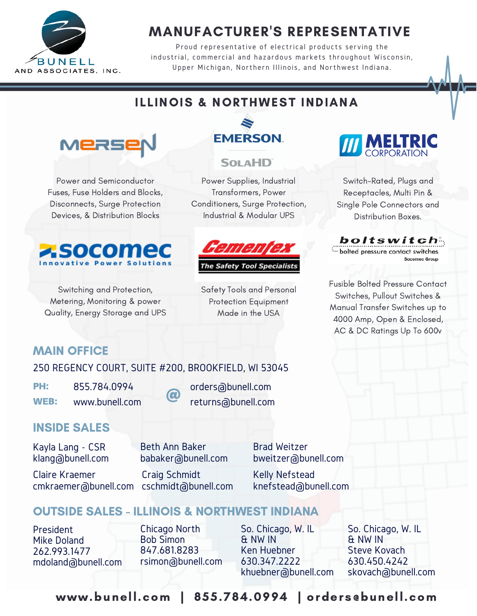

# MANUFACTURER'S REPRESENTATIVE

Proud representative of electrical products serving the industrial, commercial and hazardous markets throughout Wisconsin, Upper Michigan, Northern Illinois, and Northwest Indiana.

# ILLINOIS & NORTHWEST INDIANA



Power and Semiconductor Fuses, Fuse Holders and Blocks, Disconnects, Surge Protection Devices, & Distribution Blocks



Switching and Protection, Metering, Monitoring & power Quality, Energy Storage and UPS



### **SOLAHD**

Power Supplies, Industrial Transformers, Power Conditioners, Surge Protection, Industrial & Modular UPS



**The Safety Tool Specialists** 

Safety Tools and Personal Protection Equipment Made in the USA



Switch-Rated, Plugs and Receptacles, Multi Pin & Single Pole Connectors and Distribution Boxes.

boltswitch

bolted pressure contact switches Socomec Group

Fusible Bolted Pressure Contact Switches, Pullout Switches & Manual Transfer Switches up to 4000 Amp, Open & Enclosed, AC & DC Ratings Up To 600v

## MAIN OFFICE

250 REGENCY COURT, SUITE #200, BROOKFIELD, WI 53045

PH: 855.784.0994

WEB: www.bunell.com

orders@bunell.com returns@bunell.com

### INSIDE SALES

Kayla Lang - CSR klang@bunell.com

Claire Kraemer

Beth Ann Baker babaker@bunell.com

Craig Schmidt cmkraemer@bunell.com cschmidt@bunell.com

 $\boldsymbol{\varOmega}$ 

Brad Weitzer bweitzer@bunell.com

Kelly Nefstead knefstead@bunell.com

# OUTSIDE SALES - ILLINOIS & NORTHWEST INDIANA

President Mike Doland 262.993.1477 mdoland@bunell.com

Chicago North Bob Simon 847.681.8283 rsimon@bunell.com So. Chicago, W. IL & NW IN Ken Huebner 630.347.2222 khuebner@bunell.com

So. Chicago, W. IL & NW IN Steve Kovach 630.450.4242 skovach@bunell.com

www.bunell.com | 855.784.0994 | orders@bunell.com